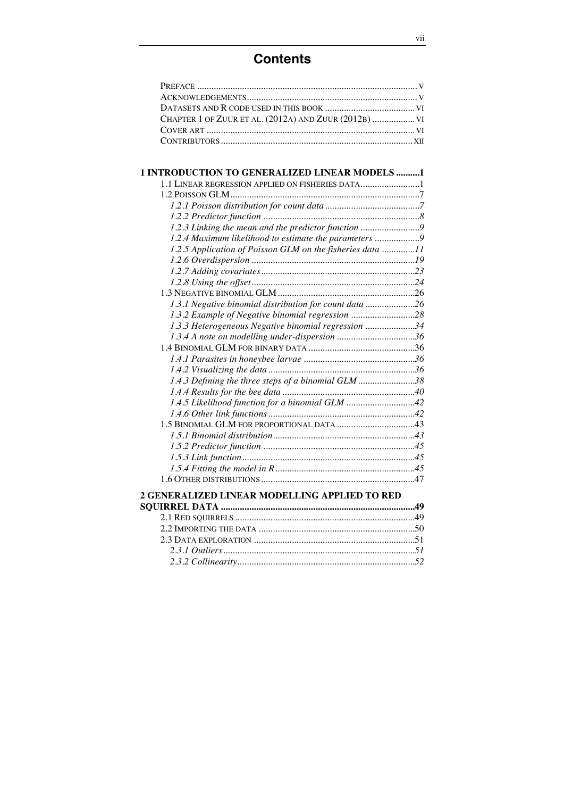## **Contents**

| CHAPTER 1 OF ZUUR ET AL. (2012A) AND ZUUR (2012B)  VI |  |
|-------------------------------------------------------|--|
|                                                       |  |
|                                                       |  |

| <b>1 INTRODUCTION TO GENERALIZED LINEAR MODELS 1</b>      |  |
|-----------------------------------------------------------|--|
| 1.1 LINEAR REGRESSION APPLIED ON FISHERIES DATA           |  |
|                                                           |  |
|                                                           |  |
|                                                           |  |
| 1.2.3 Linking the mean and the predictor function         |  |
| 1.2.4 Maximum likelihood to estimate the parameters 9     |  |
| 1.2.5 Application of Poisson GLM on the fisheries data 11 |  |
|                                                           |  |
|                                                           |  |
|                                                           |  |
|                                                           |  |
| 1.3.1 Negative binomial distribution for count data 26    |  |
| 1.3.2 Example of Negative binomial regression 28          |  |
| 1.3.3 Heterogeneous Negative binomial regression 34       |  |
|                                                           |  |
|                                                           |  |
|                                                           |  |
|                                                           |  |
| 1.4.3 Defining the three steps of a binomial GLM 38       |  |
|                                                           |  |
| 1.4.5 Likelihood function for a binomial GLM 42           |  |
|                                                           |  |
|                                                           |  |
|                                                           |  |
|                                                           |  |
|                                                           |  |
|                                                           |  |
|                                                           |  |
| 2 GENERALIZED LINEAR MODELLING APPLIED TO RED             |  |

## **SQUIRREL DATA ..................................................................................49** 2.1 RED SQUIRRELS............................................................................49 2.2 IMPORTING THE DATA ..................................................................50 2.3 DATA EXPLORATION ....................................................................51 *2.3.1 Outliers.................................................................................51 2.3.2 Collinearity...........................................................................52*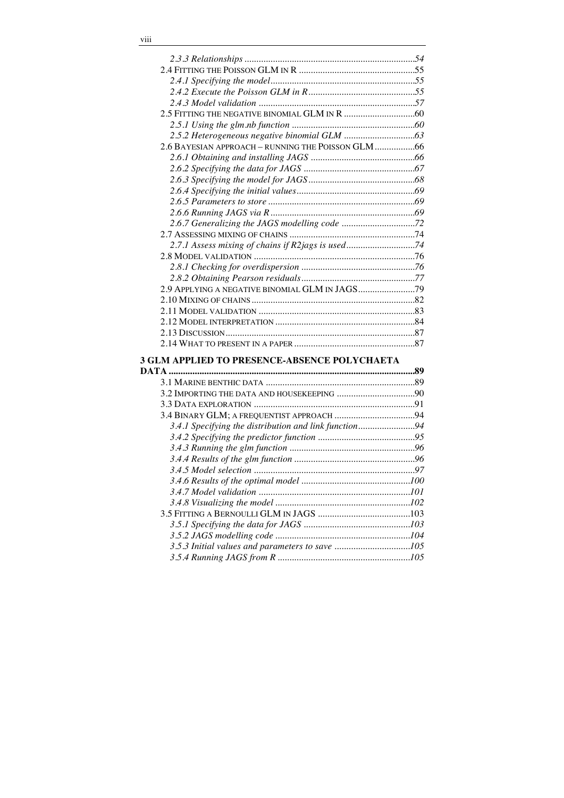| 2.6 BAYESIAN APPROACH - RUNNING THE POISSON GLM 66    |  |
|-------------------------------------------------------|--|
|                                                       |  |
|                                                       |  |
|                                                       |  |
|                                                       |  |
|                                                       |  |
|                                                       |  |
|                                                       |  |
|                                                       |  |
| 2.7.1 Assess mixing of chains if R2jags is used74     |  |
|                                                       |  |
|                                                       |  |
|                                                       |  |
|                                                       |  |
|                                                       |  |
|                                                       |  |
|                                                       |  |
|                                                       |  |
|                                                       |  |
| <b>3 GLM APPLIED TO PRESENCE-ABSENCE POLYCHAETA</b>   |  |
|                                                       |  |
|                                                       |  |
|                                                       |  |
|                                                       |  |
|                                                       |  |
|                                                       |  |
| 3.4.1 Specifying the distribution and link function94 |  |
|                                                       |  |
|                                                       |  |
|                                                       |  |
|                                                       |  |
|                                                       |  |
|                                                       |  |
|                                                       |  |
|                                                       |  |
|                                                       |  |
|                                                       |  |
|                                                       |  |
|                                                       |  |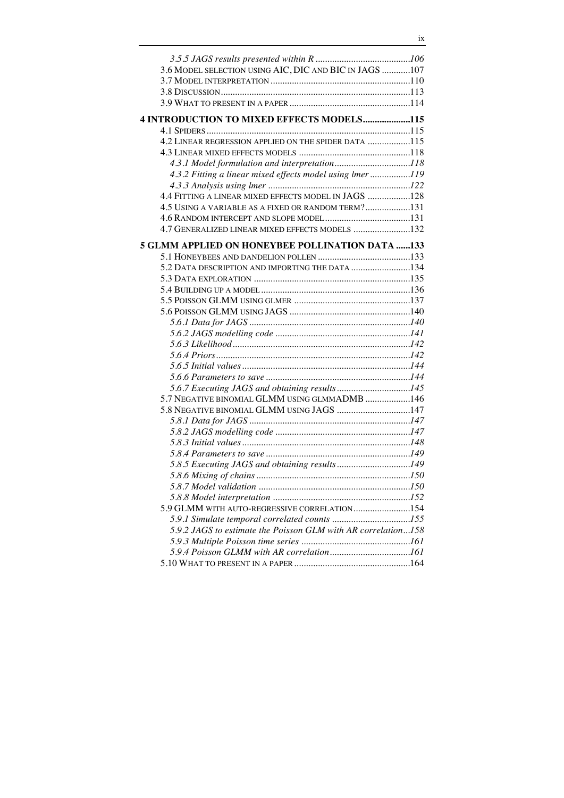| 3.6 MODEL SELECTION USING AIC, DIC AND BIC IN JAGS 107        |  |
|---------------------------------------------------------------|--|
|                                                               |  |
|                                                               |  |
|                                                               |  |
| <b>4 INTRODUCTION TO MIXED EFFECTS MODELS115</b>              |  |
|                                                               |  |
| 4.2 LINEAR REGRESSION APPLIED ON THE SPIDER DATA 115          |  |
|                                                               |  |
|                                                               |  |
| 4.3.2 Fitting a linear mixed effects model using lmer 119     |  |
|                                                               |  |
| 4.4 FITTING A LINEAR MIXED EFFECTS MODEL IN JAGS 128          |  |
| 4.5 USING A VARIABLE AS A FIXED OR RANDOM TERM?131            |  |
|                                                               |  |
| 4.7 GENERALIZED LINEAR MIXED EFFECTS MODELS 132               |  |
|                                                               |  |
| <b>5 GLMM APPLIED ON HONEYBEE POLLINATION DATA 133</b>        |  |
|                                                               |  |
| 5.2 DATA DESCRIPTION AND IMPORTING THE DATA 134               |  |
|                                                               |  |
|                                                               |  |
|                                                               |  |
|                                                               |  |
|                                                               |  |
|                                                               |  |
|                                                               |  |
|                                                               |  |
|                                                               |  |
|                                                               |  |
| 5.7 NEGATIVE BINOMIAL GLMM USING GLMMADMB 146                 |  |
| 5.8 NEGATIVE BINOMIAL GLMM USING JAGS 147                     |  |
|                                                               |  |
|                                                               |  |
|                                                               |  |
|                                                               |  |
|                                                               |  |
|                                                               |  |
|                                                               |  |
|                                                               |  |
| 5.9 GLMM WITH AUTO-REGRESSIVE CORRELATION154                  |  |
|                                                               |  |
| 5.9.2 JAGS to estimate the Poisson GLM with AR correlation158 |  |
|                                                               |  |
|                                                               |  |
|                                                               |  |
|                                                               |  |

ix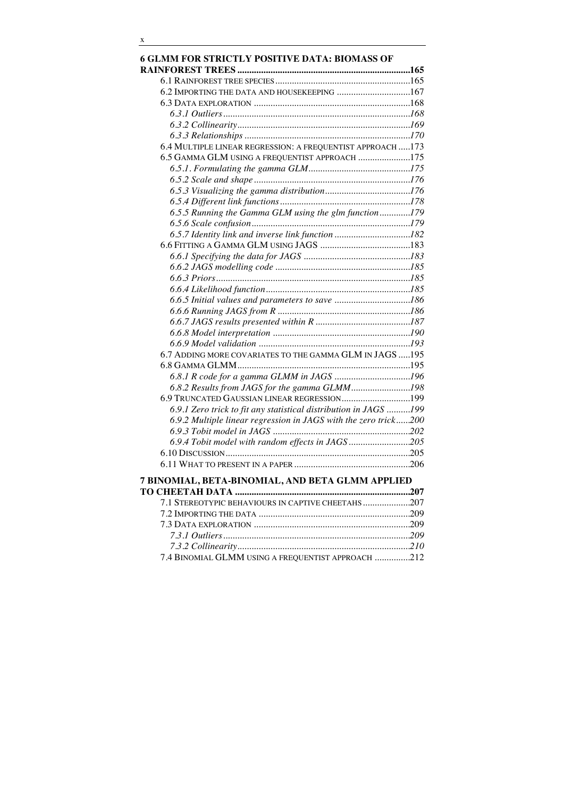| <b>6 GLMM FOR STRICTLY POSITIVE DATA: BIOMASS OF</b>             |  |
|------------------------------------------------------------------|--|
|                                                                  |  |
|                                                                  |  |
| 6.2 IMPORTING THE DATA AND HOUSEKEEPING 167                      |  |
|                                                                  |  |
|                                                                  |  |
|                                                                  |  |
|                                                                  |  |
| 6.4 MULTIPLE LINEAR REGRESSION: A FREQUENTIST APPROACH  173      |  |
| 6.5 GAMMA GLM USING A FREQUENTIST APPROACH 175                   |  |
|                                                                  |  |
|                                                                  |  |
|                                                                  |  |
|                                                                  |  |
| 6.5.5 Running the Gamma GLM using the glm function179            |  |
|                                                                  |  |
|                                                                  |  |
|                                                                  |  |
|                                                                  |  |
|                                                                  |  |
|                                                                  |  |
|                                                                  |  |
|                                                                  |  |
|                                                                  |  |
|                                                                  |  |
|                                                                  |  |
| 6.7 ADDING MORE COVARIATES TO THE GAMMA GLM IN JAGS  195         |  |
|                                                                  |  |
|                                                                  |  |
|                                                                  |  |
| 6.8.2 Results from JAGS for the gamma GLMM198                    |  |
| 6.9 TRUNCATED GAUSSIAN LINEAR REGRESSION199                      |  |
| 6.9.1 Zero trick to fit any statistical distribution in JAGS 199 |  |
| 6.9.2 Multiple linear regression in JAGS with the zero trick200  |  |
|                                                                  |  |
| 6.9.4 Tobit model with random effects in JAGS205                 |  |
|                                                                  |  |
|                                                                  |  |
| 7 BINOMIAL, BETA-BINOMIAL, AND BETA GLMM APPLIED                 |  |
| 7.1 STEREOTYPIC BEHAVIOURS IN CAPTIVE CHEETAHS207                |  |
|                                                                  |  |
|                                                                  |  |
|                                                                  |  |
|                                                                  |  |

7.4 BINOMIAL GLMM USING A FREQUENTIST APPROACH ...............212